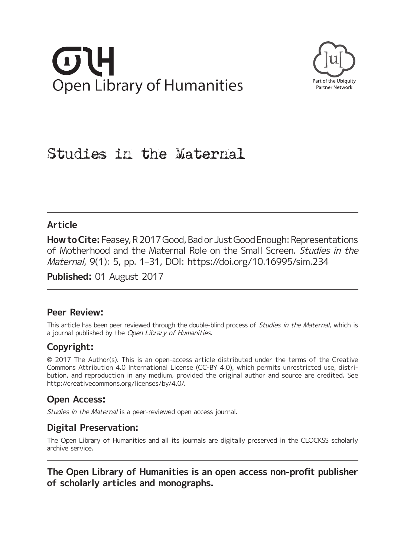# **Open Library of Humanities**



# Studies in the Maternal

## **Article**

**How to Cite:** Feasey, R 2017 Good, Bad or Just Good Enough: Representations of Motherhood and the Maternal Role on the Small Screen. Studies in the Maternal, 9(1): 5, pp. 1–31, DOI:<https://doi.org/10.16995/sim.234>

**Published:** 01 August 2017

## **Peer Review:**

This article has been peer reviewed through the double-blind process of *Studies in the Maternal*, which is a journal published by the Open Library of Humanities.

# **Copyright:**

© 2017 The Author(s). This is an open-access article distributed under the terms of the Creative Commons Attribution 4.0 International License (CC-BY 4.0), which permits unrestricted use, distribution, and reproduction in any medium, provided the original author and source are credited. See <http://creativecommons.org/licenses/by/4.0/>.

# **Open Access:**

Studies in the Maternal is a peer-reviewed open access journal.

## **Digital Preservation:**

The Open Library of Humanities and all its journals are digitally preserved in the CLOCKSS scholarly archive service.

**The Open Library of Humanities is an open access non-profit publisher of scholarly articles and monographs.**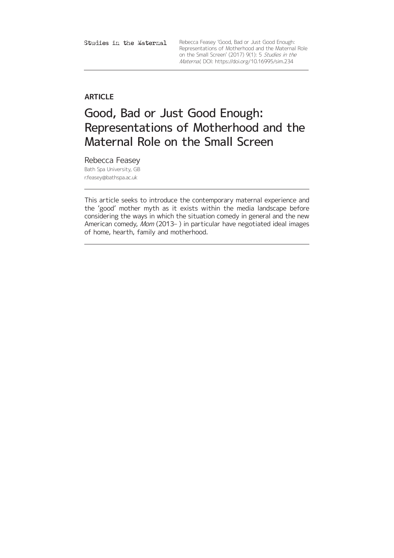Studies in the Maternal

Rebecca Feasey 'Good, Bad or Just Good Enough: Representations of Motherhood and the Maternal Role on the Small Screen' (2017) 9(1): 5 Studies in the Maternal, DOI:<https://doi.org/10.16995/sim.234>

## **ARTICLE**

# Good, Bad or Just Good Enough: Representations of Motherhood and the Maternal Role on the Small Screen

Rebecca Feasey Bath Spa University, GB [r.feasey@bathspa.ac.uk](mailto:r.feasey@bathspa.ac.uk)

This article seeks to introduce the contemporary maternal experience and the 'good' mother myth as it exists within the media landscape before considering the ways in which the situation comedy in general and the new American comedy, Mom (2013– ) in particular have negotiated ideal images of home, hearth, family and motherhood.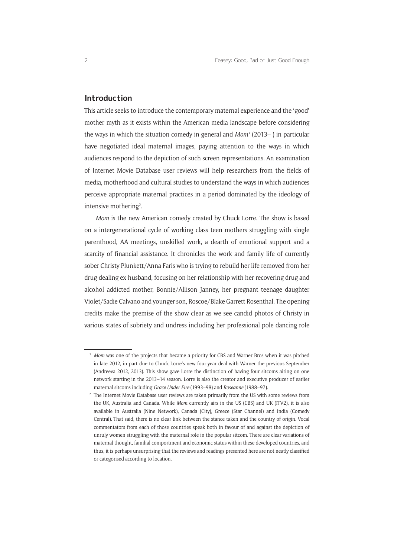## **Introduction**

This article seeks to introduce the contemporary maternal experience and the 'good' mother myth as it exists within the American media landscape before considering the ways in which the situation comedy in general and *Mom*1 (2013– ) in particular have negotiated ideal maternal images, paying attention to the ways in which audiences respond to the depiction of such screen representations. An examination of Internet Movie Database user reviews will help researchers from the fields of media, motherhood and cultural studies to understand the ways in which audiences perceive appropriate maternal practices in a period dominated by the ideology of intensive mothering<sup>2</sup>.

*Mom* is the new American comedy created by Chuck Lorre. The show is based on a intergenerational cycle of working class teen mothers struggling with single parenthood, AA meetings, unskilled work, a dearth of emotional support and a scarcity of financial assistance. It chronicles the work and family life of currently sober Christy Plunkett/Anna Faris who is trying to rebuild her life removed from her drug-dealing ex-husband, focusing on her relationship with her recovering drug and alcohol addicted mother, Bonnie/Allison Janney, her pregnant teenage daughter Violet/Sadie Calvano and younger son, Roscoe/Blake Garrett Rosenthal. The opening credits make the premise of the show clear as we see candid photos of Christy in various states of sobriety and undress including her professional pole dancing role

*Mom* was one of the projects that became a priority for CBS and Warner Bros when it was pitched in late 2012, in part due to Chuck Lorre's new four-year deal with Warner the previous September (Andreeva 2012, 2013). This show gave Lorre the distinction of having four sitcoms airing on one network starting in the 2013–14 season. Lorre is also the creator and executive producer of earlier maternal sitcoms including *[Grace Under Fire](https://en.wikipedia.org/wiki/Grace_Under_Fire)* (1993–98) and *[Roseanne](https://en.wikipedia.org/wiki/Roseanne_(TV_series))* (1988–97).

<sup>&</sup>lt;sup>2</sup> The Internet Movie Database user reviews are taken primarily from the US with some reviews from the UK, Australia and Canada. While *Mom* currently airs in the US (CBS) and UK (ITV2), it is also available in Australia (Nine Network), Canada [\(City\)](https://en.wikipedia.org/wiki/City_(TV_network)), Greece ([Star Channel\)](https://en.wikipedia.org/wiki/Star_Channel) and India (Comedy Central). That said, there is no clear link between the stance taken and the country of origin. Vocal commentators from each of those countries speak both in favour of and against the depiction of unruly women struggling with the maternal role in the popular sitcom. There are clear variations of maternal thought, familial comportment and economic status within these developed countries, and thus, it is perhaps unsurprising that the reviews and readings presented here are not neatly classified or categorised according to location.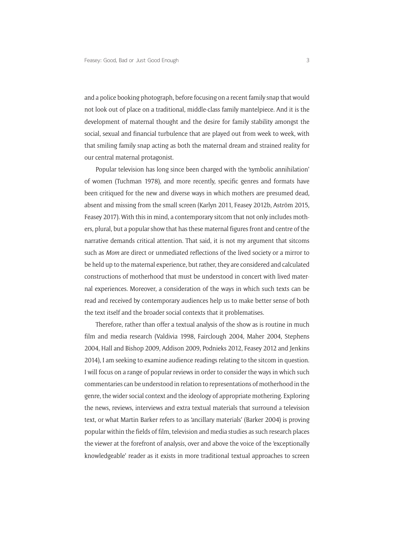and a police booking photograph, before focusing on a recent family snap that would not look out of place on a traditional, middle-class family mantelpiece. And it is the development of maternal thought and the desire for family stability amongst the social, sexual and financial turbulence that are played out from week to week, with that smiling family snap acting as both the maternal dream and strained reality for our central maternal protagonist.

Popular television has long since been charged with the 'symbolic annihilation' of women (Tuchman 1978), and more recently, specific genres and formats have been critiqued for the new and diverse ways in which mothers are presumed dead, absent and missing from the small screen (Karlyn 2011, Feasey 2012b, Aström 2015, Feasey 2017). With this in mind, a contemporary sitcom that not only includes mothers, plural, but a popular show that has these maternal figures front and centre of the narrative demands critical attention. That said, it is not my argument that sitcoms such as *Mom* are direct or unmediated reflections of the lived society or a mirror to be held up to the maternal experience, but rather, they are considered and calculated constructions of motherhood that must be understood in concert with lived maternal experiences. Moreover, a consideration of the ways in which such texts can be read and received by contemporary audiences help us to make better sense of both the text itself and the broader social contexts that it problematises.

Therefore, rather than offer a textual analysis of the show as is routine in much film and media research (Valdivia 1998, Fairclough 2004, Maher 2004, Stephens 2004, Hall and Bishop 2009, Addison 2009, Podnieks 2012, Feasey 2012 and Jenkins 2014), I am seeking to examine audience readings relating to the sitcom in question. I will focus on a range of popular reviews in order to consider the ways in which such commentaries can be understood in relation to representations of motherhood in the genre, the wider social context and the ideology of appropriate mothering. Exploring the news, reviews, interviews and extra textual materials that surround a television text, or what Martin Barker refers to as 'ancillary materials' (Barker 2004) is proving popular within the fields of film, television and media studies as such research places the viewer at the forefront of analysis, over and above the voice of the 'exceptionally knowledgeable' reader as it exists in more traditional textual approaches to screen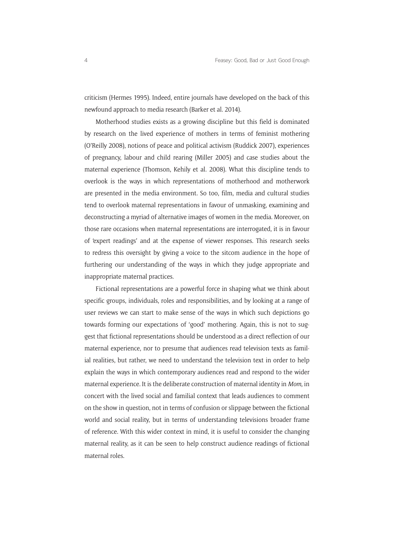criticism (Hermes 1995). Indeed, entire journals have developed on the back of this newfound approach to media research (Barker et al. 2014).

Motherhood studies exists as a growing discipline but this field is dominated by research on the lived experience of mothers in terms of feminist mothering (O'Reilly 2008), notions of peace and political activism (Ruddick 2007), experiences of pregnancy, labour and child rearing (Miller 2005) and case studies about the maternal experience (Thomson, Kehily et al. 2008). What this discipline tends to overlook is the ways in which representations of motherhood and motherwork are presented in the media environment. So too, film, media and cultural studies tend to overlook maternal representations in favour of unmasking, examining and deconstructing a myriad of alternative images of women in the media. Moreover, on those rare occasions when maternal representations are interrogated, it is in favour of 'expert readings' and at the expense of viewer responses. This research seeks to redress this oversight by giving a voice to the sitcom audience in the hope of furthering our understanding of the ways in which they judge appropriate and inappropriate maternal practices.

Fictional representations are a powerful force in shaping what we think about specific groups, individuals, roles and responsibilities, and by looking at a range of user reviews we can start to make sense of the ways in which such depictions go towards forming our expectations of 'good' mothering. Again, this is not to suggest that fictional representations should be understood as a direct reflection of our maternal experience, nor to presume that audiences read television texts as familial realities, but rather, we need to understand the television text in order to help explain the ways in which contemporary audiences read and respond to the wider maternal experience. It is the deliberate construction of maternal identity in *Mom*, in concert with the lived social and familial context that leads audiences to comment on the show in question, not in terms of confusion or slippage between the fictional world and social reality, but in terms of understanding televisions broader frame of reference. With this wider context in mind, it is useful to consider the changing maternal reality, as it can be seen to help construct audience readings of fictional maternal roles.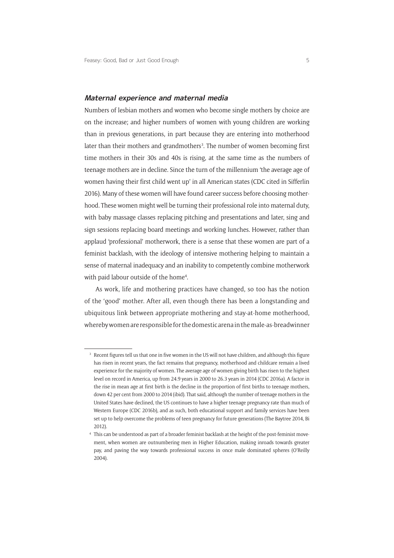### **Maternal experience and maternal media**

Numbers of lesbian mothers and women who become single mothers by choice are on the increase; and higher numbers of women with young children are working than in previous generations, in part because they are entering into motherhood later than their mothers and grandmothers<sup>3</sup>. The number of women becoming first time mothers in their 30s and 40s is rising, at the same time as the numbers of teenage mothers are in decline. Since the turn of the millennium 'the average age of women having their first child went up' in all American states (CDC cited in Sifferlin 2016). Many of these women will have found career success before choosing motherhood. These women might well be turning their professional role into maternal duty, with baby massage classes replacing pitching and presentations and later, sing and sign sessions replacing board meetings and working lunches. However, rather than applaud 'professional' motherwork, there is a sense that these women are part of a feminist backlash, with the ideology of intensive mothering helping to maintain a sense of maternal inadequacy and an inability to competently combine motherwork with paid labour outside of the home<sup>4</sup>.

As work, life and mothering practices have changed, so too has the notion of the 'good' mother. After all, even though there has been a longstanding and ubiquitous link between appropriate mothering and stay-at-home motherhood, whereby women are responsible for the domestic arena in the male-as-breadwinner

<sup>&</sup>lt;sup>3</sup> Recent figures tell us that one in five women in the US will not have children, and although this figure has risen in recent years, the fact remains that pregnancy, motherhood and childcare remain a lived experience for the majority of women. The average age of women giving birth has risen to the highest level on record in America, up from 24.9 years in 2000 to 26.3 years in 2014 (CDC 2016a). A factor in the rise in mean age at first birth is the decline in the proportion of first births to teenage mothers, down 42 per cent from 2000 to 2014 (ibid). That said, although the number of teenage mothers in the United States have declined, the US continues to have a higher teenage pregnancy rate than much of Western Europe (CDC 2016b), and as such, both educational support and family services have been set up to help overcome the problems of teen pregnancy for future generations (The Baytree 2014, Bi 2012).

<sup>4</sup> This can be understood as part of a broader feminist backlash at the height of the post-feminist movement, when women are outnumbering men in Higher Education, making inroads towards greater pay, and paving the way towards professional success in once male dominated spheres (O'Reilly 2004).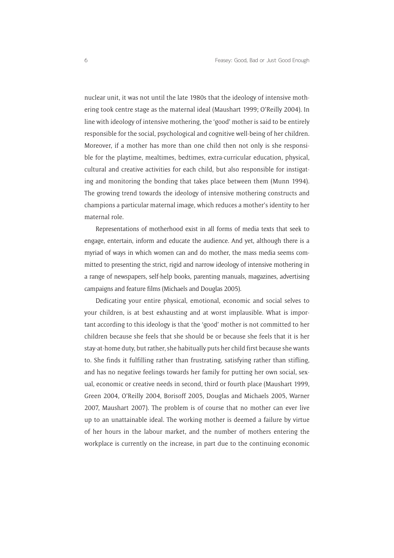nuclear unit, it was not until the late 1980s that the ideology of intensive mothering took centre stage as the maternal ideal (Maushart 1999; O'Reilly 2004). In line with ideology of intensive mothering, the 'good' mother is said to be entirely responsible for the social, psychological and cognitive well-being of her children. Moreover, if a mother has more than one child then not only is she responsible for the playtime, mealtimes, bedtimes, extra-curricular education, physical, cultural and creative activities for each child, but also responsible for instigating and monitoring the bonding that takes place between them (Munn 1994). The growing trend towards the ideology of intensive mothering constructs and champions a particular maternal image, which reduces a mother's identity to her maternal role.

Representations of motherhood exist in all forms of media texts that seek to engage, entertain, inform and educate the audience. And yet, although there is a myriad of ways in which women can and do mother, the mass media seems committed to presenting the strict, rigid and narrow ideology of intensive mothering in a range of newspapers, self-help books, parenting manuals, magazines, advertising campaigns and feature films (Michaels and Douglas 2005).

Dedicating your entire physical, emotional, economic and social selves to your children, is at best exhausting and at worst implausible. What is important according to this ideology is that the 'good' mother is not committed to her children because she feels that she should be or because she feels that it is her stay-at-home duty, but rather, she habitually puts her child first because she wants to. She finds it fulfilling rather than frustrating, satisfying rather than stifling, and has no negative feelings towards her family for putting her own social, sexual, economic or creative needs in second, third or fourth place (Maushart 1999, Green 2004, O'Reilly 2004, Borisoff 2005, Douglas and Michaels 2005, Warner 2007, Maushart 2007). The problem is of course that no mother can ever live up to an unattainable ideal. The working mother is deemed a failure by virtue of her hours in the labour market, and the number of mothers entering the workplace is currently on the increase, in part due to the continuing economic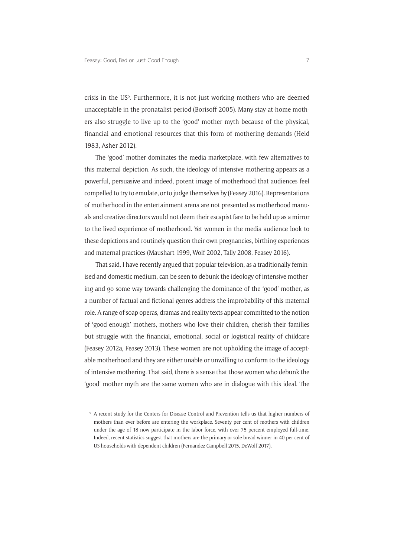crisis in the US<sup>5</sup>. Furthermore, it is not just working mothers who are deemed unacceptable in the pronatalist period (Borisoff 2005). Many stay-at-home mothers also struggle to live up to the 'good' mother myth because of the physical, financial and emotional resources that this form of mothering demands (Held 1983, Asher 2012).

The 'good' mother dominates the media marketplace, with few alternatives to this maternal depiction. As such, the ideology of intensive mothering appears as a powerful, persuasive and indeed, potent image of motherhood that audiences feel compelled to try to emulate, or to judge themselves by (Feasey 2016). Representations of motherhood in the entertainment arena are not presented as motherhood manuals and creative directors would not deem their escapist fare to be held up as a mirror to the lived experience of motherhood. Yet women in the media audience look to these depictions and routinely question their own pregnancies, birthing experiences and maternal practices (Maushart 1999, Wolf 2002, Tally 2008, Feasey 2016).

That said, I have recently argued that popular television, as a traditionally feminised and domestic medium, can be seen to debunk the ideology of intensive mothering and go some way towards challenging the dominance of the 'good' mother, as a number of factual and fictional genres address the improbability of this maternal role. A range of soap operas, dramas and reality texts appear committed to the notion of 'good enough' mothers, mothers who love their children, cherish their families but struggle with the financial, emotional, social or logistical reality of childcare (Feasey 2012a, Feasey 2013). These women are not upholding the image of acceptable motherhood and they are either unable or unwilling to conform to the ideology of intensive mothering. That said, there is a sense that those women who debunk the 'good' mother myth are the same women who are in dialogue with this ideal. The

<sup>&</sup>lt;sup>5</sup> A recent study for the Centers for Disease Control and Prevention tells us that higher numbers of mothers than ever before are entering the workplace. Seventy per cent of mothers with children under the age of 18 now participate in the labor force, with over 75 percent employed full-time. Indeed, recent statistics suggest that mothers are the primary or sole bread-winner in 40 per cent of US households with dependent children (Fernandez Campbell 2015, DeWolf 2017).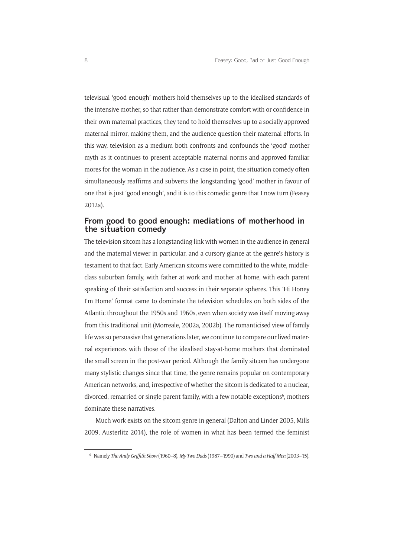televisual 'good enough' mothers hold themselves up to the idealised standards of the intensive mother, so that rather than demonstrate comfort with or confidence in their own maternal practices, they tend to hold themselves up to a socially approved maternal mirror, making them, and the audience question their maternal efforts. In this way, television as a medium both confronts and confounds the 'good' mother myth as it continues to present acceptable maternal norms and approved familiar mores for the woman in the audience. As a case in point, the situation comedy often simultaneously reaffirms and subverts the longstanding 'good' mother in favour of one that is just 'good enough', and it is to this comedic genre that I now turn (Feasey 2012a).

## **From good to good enough: mediations of motherhood in the situation comedy**

The television sitcom has a longstanding link with women in the audience in general and the maternal viewer in particular, and a cursory glance at the genre's history is testament to that fact. Early American sitcoms were committed to the white, middleclass suburban family, with father at work and mother at home, with each parent speaking of their satisfaction and success in their separate spheres. This 'Hi Honey I'm Home' format came to dominate the television schedules on both sides of the Atlantic throughout the 1950s and 1960s, even when society was itself moving away from this traditional unit (Morreale, 2002a, 2002b). The romanticised view of family life was so persuasive that generations later, we continue to compare our lived maternal experiences with those of the idealised stay-at-home mothers that dominated the small screen in the post-war period. Although the family sitcom has undergone many stylistic changes since that time, the genre remains popular on contemporary American networks, and, irrespective of whether the sitcom is dedicated to a nuclear, divorced, remarried or single parent family, with a few notable exceptions<sup>6</sup>, mothers dominate these narratives.

Much work exists on the sitcom genre in general (Dalton and Linder 2005, Mills 2009, Austerlitz 2014), the role of women in what has been termed the feminist

<sup>6</sup> Namely *The Andy Griffith Show* (1960–8), *My Two Dads* (1987–1990) and *Two and a Half Men* (2003–15).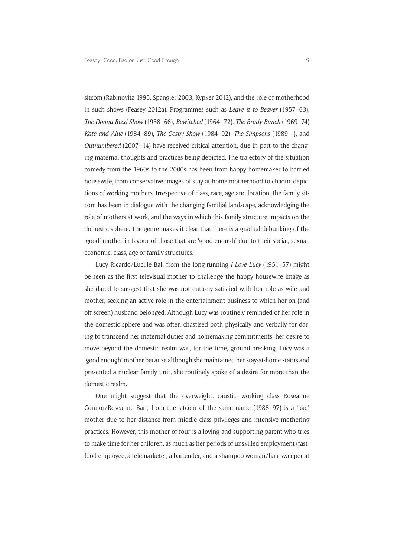sitcom (Rabinovitz 1995, Spangler 2003, Kypker 2012), and the role of motherhood in such shows (Feasey 2012a). Programmes such as *Leave it to Beaver* (1957–63), *The Donna Reed Show* (1958–66), *Bewitched* (1964–72), *The Brady Bunch* (1969–74) *Kate and Allie* (1984–89), *The Cosby Show* (1984–92), *The Simpsons* (1989– ), and *Outnumbered* (2007–14) have received critical attention, due in part to the changing maternal thoughts and practices being depicted. The trajectory of the situation comedy from the 1960s to the 2000s has been from happy homemaker to harried housewife, from conservative images of stay-at-home motherhood to chaotic depictions of working mothers. Irrespective of class, race, age and location, the family sitcom has been in dialogue with the changing familial landscape, acknowledging the role of mothers at work, and the ways in which this family structure impacts on the domestic sphere. The genre makes it clear that there is a gradual debunking of the 'good' mother in favour of those that are 'good enough' due to their social, sexual, economic, class, age or family structures.

Lucy Ricardo/Lucille Ball from the long-running *I Love Lucy* (1951–57) might be seen as the first televisual mother to challenge the happy housewife image as she dared to suggest that she was not entirely satisfied with her role as wife and mother, seeking an active role in the entertainment business to which her on (and off-screen) husband belonged. Although Lucy was routinely reminded of her role in the domestic sphere and was often chastised both physically and verbally for daring to transcend her maternal duties and homemaking commitments, her desire to move beyond the domestic realm was, for the time, ground-breaking. Lucy was a 'good enough' mother because although she maintained her stay-at-home status and presented a nuclear family unit, she routinely spoke of a desire for more than the domestic realm.

One might suggest that the overweight, caustic, working class Roseanne Connor/Roseanne Barr, from the sitcom of the same name (1988–97) is a 'bad' mother due to her distance from middle class privileges and intensive mothering practices. However, this mother of four is a loving and supporting parent who tries to make time for her children, as much as her periods of unskilled employment (fastfood employee, a telemarketer, a bartender, and a shampoo woman/hair sweeper at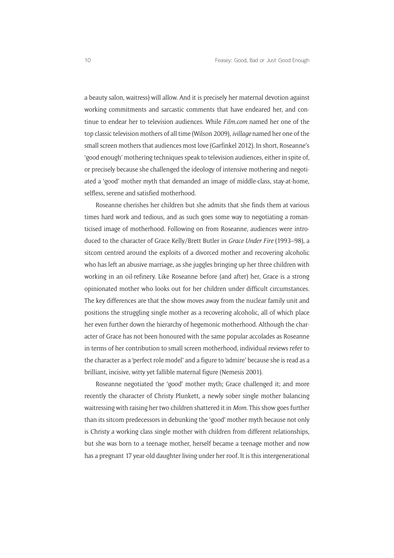a beauty salon, waitress) will allow. And it is precisely her maternal devotion against working commitments and sarcastic comments that have endeared her, and continue to endear her to television audiences. While *[Film.com](http://www.mtv.com/news/movies/)* named her one of the top classic television mothers of all time (Wilson 2009), *ivillage* named her one of the small screen mothers that audiences most love (Garfinkel 2012). In short, Roseanne's 'good enough' mothering techniques speak to television audiences, either in spite of, or precisely because she challenged the ideology of intensive mothering and negotiated a 'good' mother myth that demanded an image of middle-class, stay-at-home, selfless, serene and satisfied motherhood.

Roseanne cherishes her children but she admits that she finds them at various times hard work and tedious, and as such goes some way to negotiating a romanticised image of motherhood. Following on from Roseanne, audiences were introduced to the character of Grace Kelly/Brett Butler in *Grace Under Fire* (1993–98), a sitcom centred around the exploits of a divorced mother and recovering alcoholic who has left an abusive marriage, as she juggles bringing up her three children with working in an oil-refinery. Like Roseanne before (and after) her, Grace is a strong opinionated mother who looks out for her children under difficult circumstances. The key differences are that the show moves away from the nuclear family unit and positions the struggling single mother as a recovering alcoholic, all of which place her even further down the hierarchy of hegemonic motherhood. Although the character of Grace has not been honoured with the same popular accolades as Roseanne in terms of her contribution to small screen motherhood, individual reviews refer to the character as a 'perfect role model' and a figure to 'admire' because she is read as a brilliant, incisive, witty yet fallible maternal figure (Nemesis 2001).

Roseanne negotiated the 'good' mother myth; Grace challenged it; and more recently the character of Christy Plunkett, a newly sober single mother balancing waitressing with raising her two children shattered it in *Mom*. This show goes further than its sitcom predecessors in debunking the 'good' mother myth because not only is Christy a working class single mother with children from different relationships, but she was born to a teenage mother, herself became a teenage mother and now has a pregnant 17 year-old daughter living under her roof. It is this intergenerational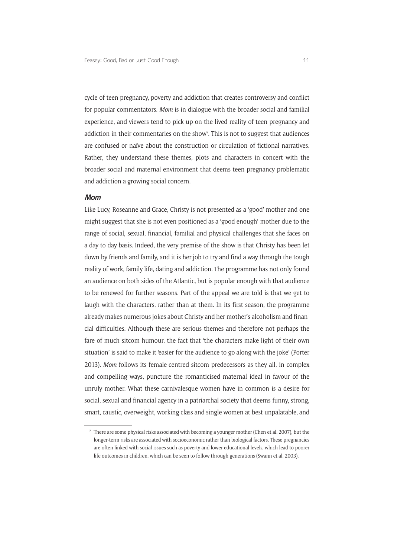cycle of teen pregnancy, poverty and addiction that creates controversy and conflict for popular commentators. *Mom* is in dialogue with the broader social and familial experience, and viewers tend to pick up on the lived reality of teen pregnancy and addiction in their commentaries on the show<sup>7</sup>. This is not to suggest that audiences are confused or naïve about the construction or circulation of fictional narratives. Rather, they understand these themes, plots and characters in concert with the broader social and maternal environment that deems teen pregnancy problematic and addiction a growing social concern.

#### **Mom**

Like Lucy, Roseanne and Grace, Christy is not presented as a 'good' mother and one might suggest that she is not even positioned as a 'good enough' mother due to the range of social, sexual, financial, familial and physical challenges that she faces on a day to day basis. Indeed, the very premise of the show is that Christy has been let down by friends and family, and it is her job to try and find a way through the tough reality of work, family life, dating and addiction. The programme has not only found an audience on both sides of the Atlantic, but is popular enough with that audience to be renewed for further seasons. Part of the appeal we are told is that we get to laugh with the characters, rather than at them. In its first season, the programme already makes numerous jokes about Christy and her mother's alcoholism and financial difficulties. Although these are serious themes and therefore not perhaps the fare of much sitcom humour, the fact that 'the characters make light of their own situation' is said to make it 'easier for the audience to go along with the joke' (Porter 2013). *Mom* follows its female-centred sitcom predecessors as they all, in complex and compelling ways, puncture the romanticised maternal ideal in favour of the unruly mother. What these carnivalesque women have in common is a desire for social, sexual and financial agency in a patriarchal society that deems funny, strong, smart, caustic, overweight, working class and single women at best unpalatable, and

<sup>7</sup> There are some physical risks associated with becoming a younger mother (Chen et al. 2007), but the longer-term risks are associated with socioeconomic rather than biological factors. These pregnancies are often linked with social issues such as poverty and lower educational levels, which lead to poorer life outcomes in children, which can be seen to follow through generations (Swann et al. 2003).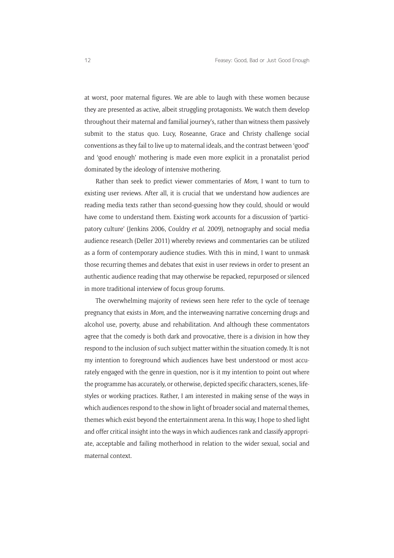at worst, poor maternal figures. We are able to laugh with these women because they are presented as active, albeit struggling protagonists. We watch them develop throughout their maternal and familial journey's, rather than witness them passively submit to the status quo. Lucy, Roseanne, Grace and Christy challenge social conventions as they fail to live up to maternal ideals, and the contrast between 'good' and 'good enough' mothering is made even more explicit in a pronatalist period dominated by the ideology of intensive mothering.

Rather than seek to predict viewer commentaries of *Mom*, I want to turn to existing user reviews. After all, it is crucial that we understand how audiences are reading media texts rather than second-guessing how they could, should or would have come to understand them. Existing work accounts for a discussion of 'participatory culture' (Jenkins 2006, Couldry *et al*. 2009), netnography and social media audience research (Deller 2011) whereby reviews and commentaries can be utilized as a form of contemporary audience studies. With this in mind, I want to unmask those recurring themes and debates that exist in user reviews in order to present an authentic audience reading that may otherwise be repacked, repurposed or silenced in more traditional interview of focus group forums.

The overwhelming majority of reviews seen here refer to the cycle of teenage pregnancy that exists in *Mom*, and the interweaving narrative concerning drugs and alcohol use, poverty, abuse and rehabilitation. And although these commentators agree that the comedy is both dark and provocative, there is a division in how they respond to the inclusion of such subject matter within the situation comedy. It is not my intention to foreground which audiences have best understood or most accurately engaged with the genre in question, nor is it my intention to point out where the programme has accurately, or otherwise, depicted specific characters, scenes, lifestyles or working practices. Rather, I am interested in making sense of the ways in which audiences respond to the show in light of broader social and maternal themes, themes which exist beyond the entertainment arena. In this way, I hope to shed light and offer critical insight into the ways in which audiences rank and classify appropriate, acceptable and failing motherhood in relation to the wider sexual, social and maternal context.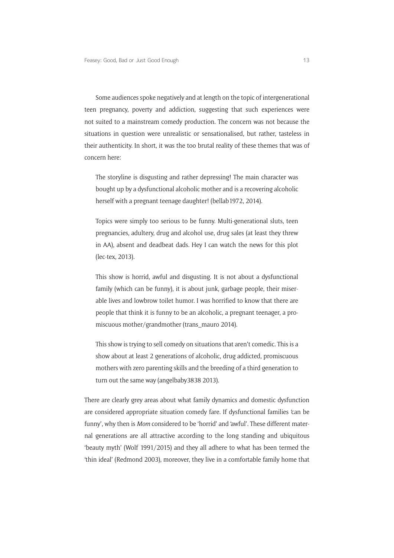Some audiences spoke negatively and at length on the topic of intergenerational teen pregnancy, poverty and addiction, suggesting that such experiences were not suited to a mainstream comedy production. The concern was not because the situations in question were unrealistic or sensationalised, but rather, tasteless in their authenticity. In short, it was the too brutal reality of these themes that was of concern here:

The storyline is disgusting and rather depressing! The main character was bought up by a dysfunctional alcoholic mother and is a recovering alcoholic herself with a pregnant teenage daughter! (bellab1972, 2014).

Topics were simply too serious to be funny. Multi-generational sluts, teen pregnancies, adultery, drug and alcohol use, drug sales (at least they threw in AA), absent and deadbeat dads. Hey I can watch the news for this plot (lec-tex, 2013).

This show is horrid, awful and disgusting. It is not about a dysfunctional family (which can be funny), it is about junk, garbage people, their miserable lives and lowbrow toilet humor. I was horrified to know that there are people that think it is funny to be an alcoholic, a pregnant teenager, a promiscuous mother/grandmother (trans\_mauro 2014).

This show is trying to sell comedy on situations that aren't comedic. This is a show about at least 2 generations of alcoholic, drug addicted, promiscuous mothers with zero parenting skills and the breeding of a third generation to turn out the same way (angelbaby3838 2013).

There are clearly grey areas about what family dynamics and domestic dysfunction are considered appropriate situation comedy fare. If dysfunctional families 'can be funny', why then is *Mom* considered to be 'horrid' and 'awful'. These different maternal generations are all attractive according to the long standing and ubiquitous 'beauty myth' (Wolf 1991/2015) and they all adhere to what has been termed the 'thin ideal' (Redmond 2003), moreover, they live in a comfortable family home that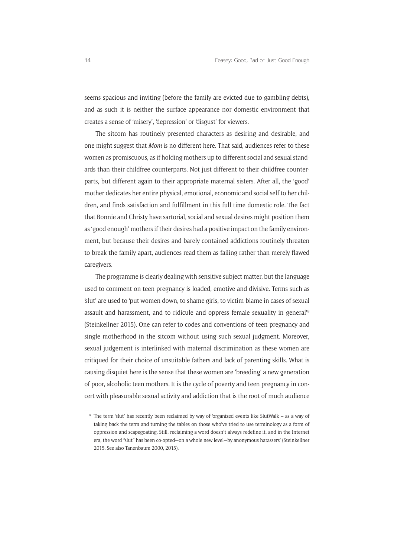seems spacious and inviting (before the family are evicted due to gambling debts), and as such it is neither the surface appearance nor domestic environment that creates a sense of 'misery', 'depression' or 'disgust' for viewers.

The sitcom has routinely presented characters as desiring and desirable, and one might suggest that *Mom* is no different here. That said, audiences refer to these women as promiscuous, as if holding mothers up to different social and sexual standards than their childfree counterparts. Not just different to their childfree counterparts, but different again to their appropriate maternal sisters. After all, the 'good' mother dedicates her entire physical, emotional, economic and social self to her children, and finds satisfaction and fulfillment in this full time domestic role. The fact that Bonnie and Christy have sartorial, social and sexual desires might position them as 'good enough' mothers if their desires had a positive impact on the family environment, but because their desires and barely contained addictions routinely threaten to break the family apart, audiences read them as failing rather than merely flawed caregivers.

The programme is clearly dealing with sensitive subject matter, but the language used to comment on teen pregnancy is loaded, emotive and divisive. Terms such as 'slut' are used to 'put women down, to shame girls, to victim-blame in cases of sexual assault and harassment, and to ridicule and oppress female sexuality in general'8 [\(Steinkellner](http://hellogiggles.com/author/kit-steinkellner/) 2015). One can refer to codes and conventions of teen pregnancy and single motherhood in the sitcom without using such sexual judgment. Moreover, sexual judgement is interlinked with maternal discrimination as these women are critiqued for their choice of unsuitable fathers and lack of parenting skills. What is causing disquiet here is the sense that these women are 'breeding' a new generation of poor, alcoholic teen mothers. It is the cycle of poverty and teen pregnancy in concert with pleasurable sexual activity and addiction that is the root of much audience

<sup>8</sup> The term 'slut' has recently been reclaimed by way of 'organized events like SlutWalk – as a way of taking back the term and turning the tables on those who've tried to use terminology as a form of oppression and scapegoating. Still, reclaiming a word doesn't always redefine it, and in the Internet era, the word "slut" has been co-opted—on a whole new level—by anonymous harassers' ([Steinkellner](http://hellogiggles.com/author/kit-steinkellner/) 2015, See also Tanenbaum 2000, 2015).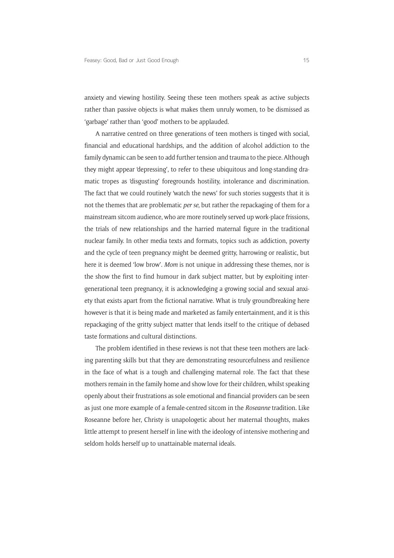anxiety and viewing hostility. Seeing these teen mothers speak as active subjects rather than passive objects is what makes them unruly women, to be dismissed as 'garbage' rather than 'good' mothers to be applauded.

A narrative centred on three generations of teen mothers is tinged with social, financial and educational hardships, and the addition of alcohol addiction to the family dynamic can be seen to add further tension and trauma to the piece. Although they might appear 'depressing', to refer to these ubiquitous and long-standing dramatic tropes as 'disgusting' foregrounds hostility, intolerance and discrimination. The fact that we could routinely 'watch the news' for such stories suggests that it is not the themes that are problematic *per se*, but rather the repackaging of them for a mainstream sitcom audience, who are more routinely served up work-place frissions, the trials of new relationships and the harried maternal figure in the traditional nuclear family. In other media texts and formats, topics such as addiction, poverty and the cycle of teen pregnancy might be deemed gritty, harrowing or realistic, but here it is deemed 'low brow'. *Mom* is not unique in addressing these themes, nor is the show the first to find humour in dark subject matter, but by exploiting intergenerational teen pregnancy, it is acknowledging a growing social and sexual anxiety that exists apart from the fictional narrative. What is truly groundbreaking here however is that it is being made and marketed as family entertainment, and it is this repackaging of the gritty subject matter that lends itself to the critique of debased taste formations and cultural distinctions.

The problem identified in these reviews is not that these teen mothers are lacking parenting skills but that they are demonstrating resourcefulness and resilience in the face of what is a tough and challenging maternal role. The fact that these mothers remain in the family home and show love for their children, whilst speaking openly about their frustrations as sole emotional and financial providers can be seen as just one more example of a female-centred sitcom in the *Roseanne* tradition. Like Roseanne before her, Christy is unapologetic about her maternal thoughts, makes little attempt to present herself in line with the ideology of intensive mothering and seldom holds herself up to unattainable maternal ideals.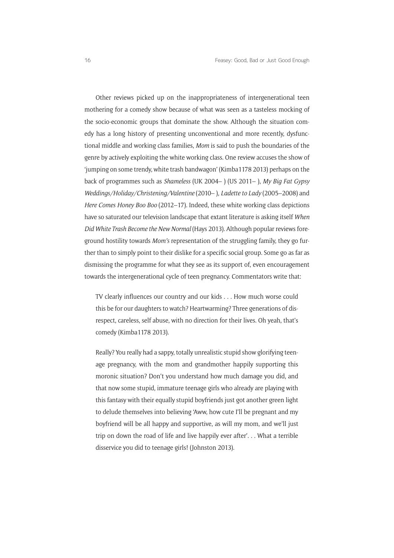Other reviews picked up on the inappropriateness of intergenerational teen mothering for a comedy show because of what was seen as a tasteless mocking of the socio-economic groups that dominate the show. Although the situation comedy has a long history of presenting unconventional and more recently, dysfunctional middle and working class families, *Mom* is said to push the boundaries of the genre by actively exploiting the white working class. One review accuses the show of 'jumping on some trendy, white trash bandwagon' (Kimba1178 2013) perhaps on the back of programmes such as *Shameless* (UK 2004– ) (US 2011– ), *My Big Fat Gypsy Weddings/Holiday/Christening/Valentine* (2010– ), *Ladette to Lady* (2005–2008) and *Here Comes Honey Boo Boo* (2012–17). Indeed, these white working class depictions have so saturated our television landscape that extant literature is asking itself *When Did White Trash Become the New Normal* (Hays 2013). Although popular reviews foreground hostility towards *Mom's* representation of the struggling family, they go further than to simply point to their dislike for a specific social group. Some go as far as dismissing the programme for what they see as its support of, even encouragement towards the intergenerational cycle of teen pregnancy. Commentators write that:

TV clearly influences our country and our kids . . . How much worse could this be for our daughters to watch? Heartwarming? Three generations of disrespect, careless, self abuse, with no direction for their lives. Oh yeah, that's comedy (Kimba1178 2013).

Really? You really had a sappy, totally unrealistic stupid show glorifying teenage pregnancy, with the mom and grandmother happily supporting this moronic situation? Don't you understand how much damage you did, and that now some stupid, immature teenage girls who already are playing with this fantasy with their equally stupid boyfriends just got another green light to delude themselves into believing 'Aww, how cute I'll be pregnant and my boyfriend will be all happy and supportive, as will my mom, and we'll just trip on down the road of life and live happily ever after'. . . What a terrible disservice you did to teenage girls! (Johnston 2013).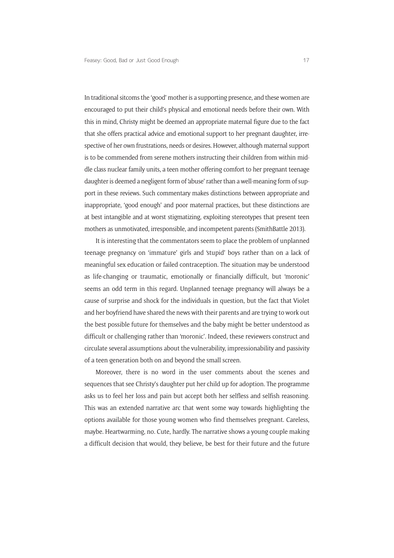In traditional sitcoms the 'good' mother is a supporting presence, and these women are encouraged to put their child's physical and emotional needs before their own. With this in mind, Christy might be deemed an appropriate maternal figure due to the fact that she offers practical advice and emotional support to her pregnant daughter, irrespective of her own frustrations, needs or desires. However, although maternal support is to be commended from serene mothers instructing their children from within middle class nuclear family units, a teen mother offering comfort to her pregnant teenage daughter is deemed a negligent form of 'abuse' rather than a well-meaning form of support in these reviews. Such commentary makes distinctions between appropriate and inappropriate, 'good enough' and poor maternal practices, but these distinctions are at best intangible and at worst stigmatizing, exploiting stereotypes that present teen mothers as unmotivated, irresponsible, and incompetent parents (SmithBattle 2013).

It is interesting that the commentators seem to place the problem of unplanned teenage pregnancy on 'immature' girls and 'stupid' boys rather than on a lack of meaningful sex education or failed contraception. The situation may be understood as life-changing or traumatic, emotionally or financially difficult, but 'moronic' seems an odd term in this regard. Unplanned teenage pregnancy will always be a cause of surprise and shock for the individuals in question, but the fact that Violet and her boyfriend have shared the news with their parents and are trying to work out the best possible future for themselves and the baby might be better understood as difficult or challenging rather than 'moronic'. Indeed, these reviewers construct and circulate several assumptions about the vulnerability, impressionability and passivity of a teen generation both on and beyond the small screen.

Moreover, there is no word in the user comments about the scenes and sequences that see Christy's daughter put her child up for adoption. The programme asks us to feel her loss and pain but accept both her selfless and selfish reasoning. This was an extended narrative arc that went some way towards highlighting the options available for those young women who find themselves pregnant. Careless, maybe. Heartwarming, no. Cute, hardly. The narrative shows a young couple making a difficult decision that would, they believe, be best for their future and the future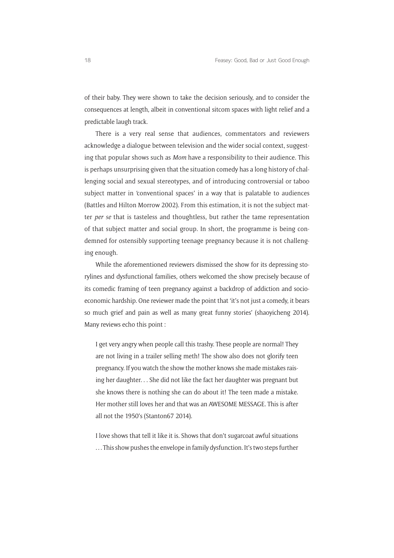of their baby. They were shown to take the decision seriously, and to consider the consequences at length, albeit in conventional sitcom spaces with light relief and a predictable laugh track.

There is a very real sense that audiences, commentators and reviewers acknowledge a dialogue between television and the wider social context, suggesting that popular shows such as *Mom* have a responsibility to their audience. This is perhaps unsurprising given that the situation comedy has a long history of challenging social and sexual stereotypes, and of introducing controversial or taboo subject matter in 'conventional spaces' in a way that is palatable to audiences (Battles and Hilton Morrow 2002). From this estimation, it is not the subject matter *per se* that is tasteless and thoughtless, but rather the tame representation of that subject matter and social group. In short, the programme is being condemned for ostensibly supporting teenage pregnancy because it is not challenging enough.

While the aforementioned reviewers dismissed the show for its depressing storylines and dysfunctional families, others welcomed the show precisely because of its comedic framing of teen pregnancy against a backdrop of addiction and socioeconomic hardship. One reviewer made the point that 'it's not just a comedy, it bears so much grief and pain as well as many great funny stories' (shaoyicheng 2014). Many reviews echo this point :

I get very angry when people call this trashy. These people are normal! They are not living in a trailer selling meth! The show also does not glorify teen pregnancy. If you watch the show the mother knows she made mistakes raising her daughter. . . She did not like the fact her daughter was pregnant but she knows there is nothing she can do about it! The teen made a mistake. Her mother still loves her and that was an AWESOME MESSAGE. This is after all not the 1950's (Stanton67 2014).

I love shows that tell it like it is. Shows that don't sugarcoat awful situations . . . This show pushes the envelope in family dysfunction. It's two steps further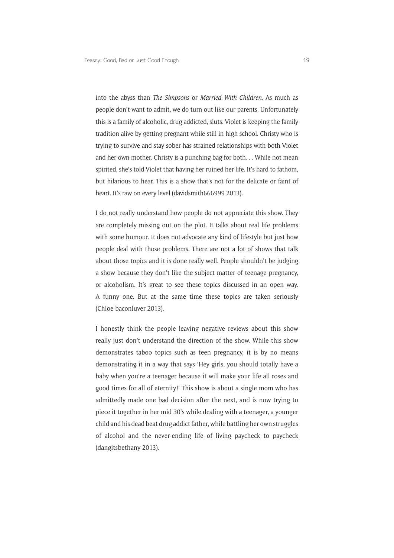into the abyss than *The Simpsons* or *Married With Children*. As much as people don't want to admit, we do turn out like our parents. Unfortunately this is a family of alcoholic, drug addicted, sluts. Violet is keeping the family tradition alive by getting pregnant while still in high school. Christy who is trying to survive and stay sober has strained relationships with both Violet and her own mother. Christy is a punching bag for both. . . While not mean spirited, she's told Violet that having her ruined her life. It's hard to fathom, but hilarious to hear. This is a show that's not for the delicate or faint of heart. It's raw on every level (davidsmith666999 2013).

I do not really understand how people do not appreciate this show. They are completely missing out on the plot. It talks about real life problems with some humour. It does not advocate any kind of lifestyle but just how people deal with those problems. There are not a lot of shows that talk about those topics and it is done really well. People shouldn't be judging a show because they don't like the subject matter of teenage pregnancy, or alcoholism. It's great to see these topics discussed in an open way. A funny one. But at the same time these topics are taken seriously [\(Chloe-baconluver](http://www.imdb.com/user/ur48202185/) 2013).

I honestly think the people leaving negative reviews about this show really just don't understand the direction of the show. While this show demonstrates taboo topics such as teen pregnancy, it is by no means demonstrating it in a way that says 'Hey girls, you should totally have a baby when you're a teenager because it will make your life all roses and good times for all of eternity!' This show is about a single mom who has admittedly made one bad decision after the next, and is now trying to piece it together in her mid 30's while dealing with a teenager, a younger child and his dead beat drug addict father, while battling her own struggles of alcohol and the never-ending life of living paycheck to paycheck (dangitsbethany 2013).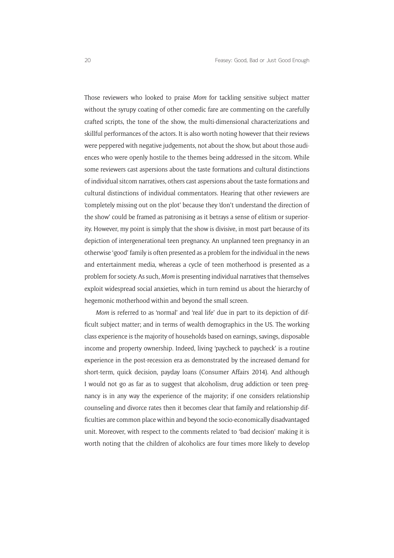Those reviewers who looked to praise *Mom* for tackling sensitive subject matter without the syrupy coating of other comedic fare are commenting on the carefully crafted scripts, the tone of the show, the multi-dimensional characterizations and skillful performances of the actors. It is also worth noting however that their reviews were peppered with negative judgements, not about the show, but about those audiences who were openly hostile to the themes being addressed in the sitcom. While some reviewers cast aspersions about the taste formations and cultural distinctions of individual sitcom narratives, others cast aspersions about the taste formations and cultural distinctions of individual commentators. Hearing that other reviewers are 'completely missing out on the plot' because they 'don't understand the direction of the show' could be framed as patronising as it betrays a sense of elitism or superiority. However, my point is simply that the show is divisive, in most part because of its depiction of intergenerational teen pregnancy. An unplanned teen pregnancy in an otherwise 'good' family is often presented as a problem for the individual in the news and entertainment media, whereas a cycle of teen motherhood is presented as a problem for society. As such, *Mom* is presenting individual narratives that themselves exploit widespread social anxieties, which in turn remind us about the hierarchy of hegemonic motherhood within and beyond the small screen.

*Mom* is referred to as 'normal' and 'real life' due in part to its depiction of difficult subject matter; and in terms of wealth demographics in the US. The working class experience is the majority of households based on earnings, savings, disposable income and property ownership. Indeed, living 'paycheck to paycheck' is a routine experience in the post-recession era as demonstrated by the increased demand for short-term, quick decision, payday loans (Consumer Affairs 2014). And although I would not go as far as to suggest that alcoholism, drug addiction or teen pregnancy is in any way the experience of the majority; if one considers relationship counseling and divorce rates then it becomes clear that family and relationship difficulties are common place within and beyond the socio-economically disadvantaged unit. Moreover, with respect to the comments related to 'bad decision' making it is worth noting that the children of alcoholics are four times more likely to develop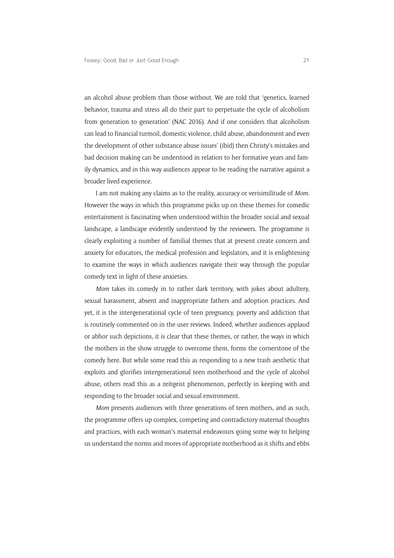an alcohol abuse problem than those without. We are told that 'genetics, learned behavior, trauma and stress all do their part to perpetuate the cycle of alcoholism from generation to generation' (NAC 2016). And if one considers that alcoholism can lead to financial turmoil, domestic violence, child abuse, abandonment and even the development of other substance abuse issues' (ibid) then Christy's mistakes and bad decision making can be understood in relation to her formative years and family dynamics, and in this way audiences appear to be reading the narrative against a broader lived experience.

I am not making any claims as to the reality, accuracy or verisimilitude of *Mom.* However the ways in which this programme picks up on these themes for comedic entertainment is fascinating when understood within the broader social and sexual landscape, a landscape evidently understood by the reviewers. The programme is clearly exploiting a number of familial themes that at present create concern and anxiety for educators, the medical profession and legislators, and it is enlightening to examine the ways in which audiences navigate their way through the popular comedy text in light of these anxieties.

*Mom* takes its comedy in to rather dark territory, with jokes about adultery, sexual harassment, absent and inappropriate fathers and adoption practices. And yet, it is the intergenerational cycle of teen pregnancy, poverty and addiction that is routinely commented on in the user reviews. Indeed, whether audiences applaud or abhor such depictions, it is clear that these themes, or rather, the ways in which the mothers in the show struggle to overcome them, forms the cornerstone of the comedy here. But while some read this as responding to a new trash aesthetic that exploits and glorifies intergenerational teen motherhood and the cycle of alcohol abuse, others read this as a zeitgeist phenomenon, perfectly in keeping with and responding to the broader social and sexual environment.

*Mom* presents audiences with three generations of teen mothers, and as such, the programme offers up complex, competing and contradictory maternal thoughts and practices, with each woman's maternal endeavours going some way to helping us understand the norms and mores of appropriate motherhood as it shifts and ebbs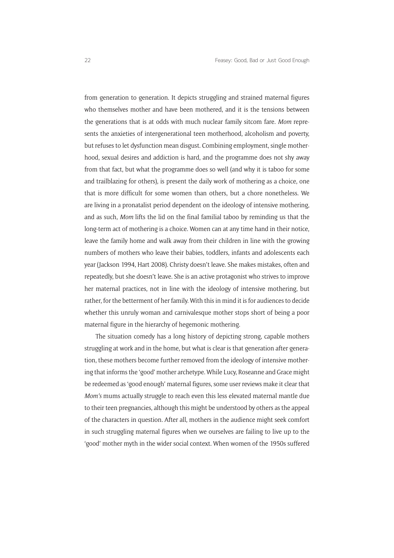from generation to generation. It depicts struggling and strained maternal figures who themselves mother and have been mothered, and it is the tensions between the generations that is at odds with much nuclear family sitcom fare. *Mom* represents the anxieties of intergenerational teen motherhood, alcoholism and poverty, but refuses to let dysfunction mean disgust. Combining employment, single motherhood, sexual desires and addiction is hard, and the programme does not shy away from that fact, but what the programme does so well (and why it is taboo for some and trailblazing for others), is present the daily work of mothering as a choice, one that is more difficult for some women than others, but a chore nonetheless. We are living in a pronatalist period dependent on the ideology of intensive mothering, and as such, *Mom* lifts the lid on the final familial taboo by reminding us that the long-term act of mothering is a choice. Women can at any time hand in their notice, leave the family home and walk away from their children in line with the growing numbers of mothers who leave their babies, toddlers, infants and adolescents each year (Jackson 1994, Hart 2008). Christy doesn't leave. She makes mistakes, often and repeatedly, but she doesn't leave. She is an active protagonist who strives to improve her maternal practices, not in line with the ideology of intensive mothering, but rather, for the betterment of her family. With this in mind it is for audiences to decide whether this unruly woman and carnivalesque mother stops short of being a poor maternal figure in the hierarchy of hegemonic mothering.

The situation comedy has a long history of depicting strong, capable mothers struggling at work and in the home, but what is clear is that generation after generation, these mothers become further removed from the ideology of intensive mothering that informs the 'good' mother archetype. While Lucy, Roseanne and Grace might be redeemed as 'good enough' maternal figures, some user reviews make it clear that *Mom's* mums actually struggle to reach even this less elevated maternal mantle due to their teen pregnancies, although this might be understood by others as the appeal of the characters in question. After all, mothers in the audience might seek comfort in such struggling maternal figures when we ourselves are failing to live up to the 'good' mother myth in the wider social context. When women of the 1950s suffered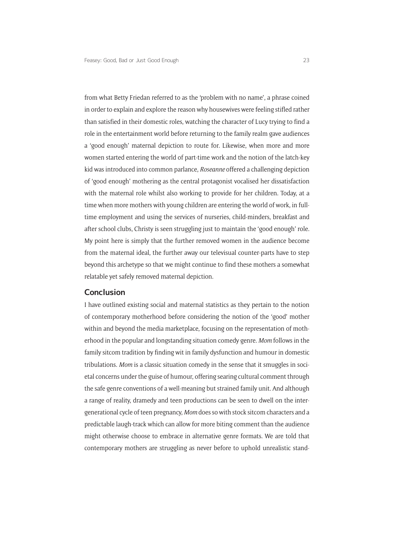from what Betty Friedan referred to as the 'problem with no name', a phrase coined in order to explain and explore the reason why housewives were feeling stifled rather than satisfied in their domestic roles, watching the character of Lucy trying to find a role in the entertainment world before returning to the family realm gave audiences a 'good enough' maternal depiction to route for. Likewise, when more and more women started entering the world of part-time work and the notion of the latch-key kid was introduced into common parlance, *Roseanne* offered a challenging depiction of 'good enough' mothering as the central protagonist vocalised her dissatisfaction with the maternal role whilst also working to provide for her children. Today, at a time when more mothers with young children are entering the world of work, in fulltime employment and using the services of nurseries, child-minders, breakfast and after school clubs, Christy is seen struggling just to maintain the 'good enough' role. My point here is simply that the further removed women in the audience become from the maternal ideal, the further away our televisual counter-parts have to step beyond this archetype so that we might continue to find these mothers a somewhat relatable yet safely removed maternal depiction.

#### **Conclusion**

I have outlined existing social and maternal statistics as they pertain to the notion of contemporary motherhood before considering the notion of the 'good' mother within and beyond the media marketplace, focusing on the representation of motherhood in the popular and longstanding situation comedy genre. *Mom* follows in the family sitcom tradition by finding wit in family dysfunction and humour in domestic tribulations. *Mom* is a classic situation comedy in the sense that it smuggles in societal concerns under the guise of humour, offering searing cultural comment through the safe genre conventions of a well-meaning but strained family unit. And although a range of reality, dramedy and teen productions can be seen to dwell on the intergenerational cycle of teen pregnancy, *Mom* does so with stock sitcom characters and a predictable laugh-track which can allow for more biting comment than the audience might otherwise choose to embrace in alternative genre formats. We are told that contemporary mothers are struggling as never before to uphold unrealistic stand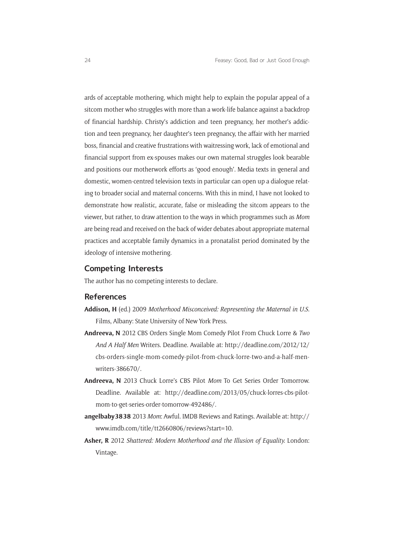ards of acceptable mothering, which might help to explain the popular appeal of a sitcom mother who struggles with more than a work-life balance against a backdrop of financial hardship. Christy's addiction and teen pregnancy, her mother's addiction and teen pregnancy, her daughter's teen pregnancy, the affair with her married boss, financial and creative frustrations with waitressing work, lack of emotional and financial support from ex-spouses makes our own maternal struggles look bearable and positions our motherwork efforts as 'good enough'. Media texts in general and domestic, women-centred television texts in particular can open up a dialogue relating to broader social and maternal concerns. With this in mind, I have not looked to demonstrate how realistic, accurate, false or misleading the sitcom appears to the viewer, but rather, to draw attention to the ways in which programmes such as *Mom* are being read and received on the back of wider debates about appropriate maternal practices and acceptable family dynamics in a pronatalist period dominated by the ideology of intensive mothering.

## **Competing Interests**

The author has no competing interests to declare.

## **References**

- **Addison, H** (ed.) 2009 *Motherhood Misconceived: Representing the Maternal in U.S*. Films, Albany: State University of New York Press.
- **Andreeva, N** 2012 CBS Orders Single Mom Comedy Pilot From Chuck Lorre & *Two And A Half Men* Writers. Deadline. Available at: [http://deadline.com/2012/12/](http://deadline.com/2012/12/cbs-orders-single-mom-comedy-pilot-from-chuck-lorre-two-and-a-half-men-writers-386670/) [cbs-orders-single-mom-comedy-pilot-from-chuck-lorre-two-and-a-half-men](http://deadline.com/2012/12/cbs-orders-single-mom-comedy-pilot-from-chuck-lorre-two-and-a-half-men-writers-386670/)[writers-386670/.](http://deadline.com/2012/12/cbs-orders-single-mom-comedy-pilot-from-chuck-lorre-two-and-a-half-men-writers-386670/)
- **Andreeva, N** 2013 Chuck Lorre's CBS Pilot *Mom* To Get Series Order Tomorrow. Deadline. Available at: [http://deadline.com/2013/05/chuck-lorres-cbs-pilot](http://deadline.com/2013/05/chuck-lorres-cbs-pilot-mom-to-get-series-order-tomorrow-492486/)[mom-to-get-series-order-tomorrow-492486/.](http://deadline.com/2013/05/chuck-lorres-cbs-pilot-mom-to-get-series-order-tomorrow-492486/)
- **angelbaby3838** 2013 *Mom*: Awful. IMDB Reviews and Ratings. Available at: [http://](http://www.imdb.com/title/tt2660806/reviews?start=10) [www.imdb.com/title/tt2660806/reviews?start=10.](http://www.imdb.com/title/tt2660806/reviews?start=10)
- **Asher, R** 2012 *Shattered: Modern Motherhood and the Illusion of Equality.* London: Vintage.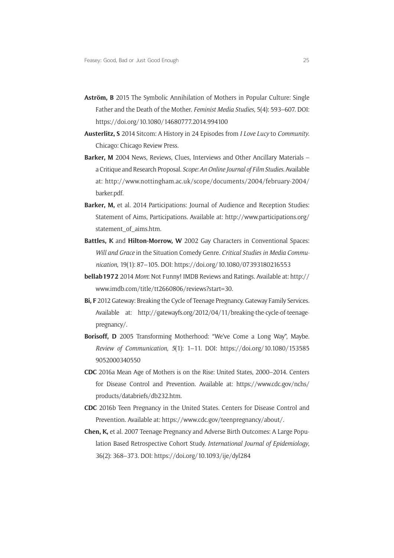- **Aström, B** 2015 The Symbolic Annihilation of Mothers in Popular Culture: Single Father and the Death of the Mother. *Feminist Media Studies*, 5(4): 593–607. DOI: <https://doi.org/10.1080/14680777.2014.994100>
- **Austerlitz, S** 2014 Sitcom: A History in 24 Episodes from *I Love Lucy* to *Community*. Chicago: Chicago Review Press.
- **Barker, M** 2004 News, Reviews, Clues, Interviews and Other Ancillary Materials a Critique and Research Proposal. *Scope: An Online Journal of Film Studies*. Available at: [http://www.nottingham.ac.uk/scope/documents/2004/february-2004/](http://www.nottingham.ac.uk/scope/documents/2004/february-2004/barker.pdf) [barker.pdf.](http://www.nottingham.ac.uk/scope/documents/2004/february-2004/barker.pdf)
- **Barker, M,** et al. 2014 Participations: Journal of Audience and Reception Studies: Statement of Aims, Participations. Available at: [http://www.participations.org/](http://www.participations.org/statement_of_aims.htm) [statement\\_of\\_aims.htm.](http://www.participations.org/statement_of_aims.htm)
- **Battles, K** and **Hilton-Morrow, W** 2002 Gay Characters in Conventional Spaces: *Will and Grace* in the Situation Comedy Genre. *Critical Studies in Media Communication*, 19(1): 87–105. DOI:<https://doi.org/10.1080/07393180216553>
- **bellab1972** 2014 *Mom*: Not Funny! IMDB Reviews and Ratings. Available at: [http://](http://www.imdb.com/title/tt2660806/reviews?start=30) [www.imdb.com/title/tt2660806/reviews?start=30](http://www.imdb.com/title/tt2660806/reviews?start=30).
- **Bi, F** 2012 Gateway: Breaking the Cycle of Teenage Pregnancy. Gateway Family Services*.*  Available at: [http://gatewayfs.org/2012/04/11/breaking-the-cycle-of-teenage](http://gatewayfs.org/2012/04/11/breaking-the-cycle-of-teenage-pregnancy/)[pregnancy/](http://gatewayfs.org/2012/04/11/breaking-the-cycle-of-teenage-pregnancy/).
- **Borisoff, D** 2005 Transforming Motherhood: "We've Come a Long Way", Maybe. *Review of Communication, 5*(1): 1–11. DOI: [https://doi.org/10.1080/153585](https://doi.org/10.1080/1535859052000340550) [9052000340550](https://doi.org/10.1080/1535859052000340550)
- **CDC** 2016a Mean Age of Mothers is on the Rise: United States, 2000–2014. Centers for Disease Control and Prevention. Available at: [https://www.cdc.gov/nchs/](https://www.cdc.gov/nchs/products/databriefs/db232.htm) [products/databriefs/db232.htm.](https://www.cdc.gov/nchs/products/databriefs/db232.htm)
- **CDC** 2016b Teen Pregnancy in the United States. Centers for Disease Control and Prevention. Available at: [https://www.cdc.gov/teenpregnancy/about/.](https://www.cdc.gov/teenpregnancy/about/)
- **Chen, K,** et al. 2007 Teenage Pregnancy and Adverse Birth Outcomes: A Large Population Based Retrospective Cohort Study. *International Journal of Epidemiology*, 36(2): 368–373. DOI:<https://doi.org/10.1093/ije/dyl284>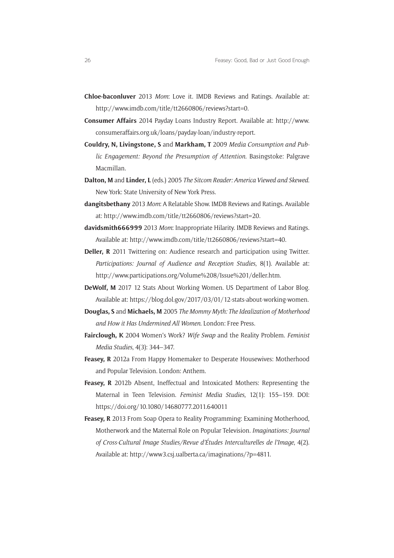- **[Chloe-baconluver](http://www.imdb.com/user/ur48202185/)** 2013 *Mom*: Love it. IMDB Reviews and Ratings. Available at: <http://www.imdb.com/title/tt2660806/reviews?start=0>.
- **Consumer Affairs** 2014 Payday Loans Industry Report. Available at: [http://www.](http://www.consumeraffairs.org.uk/loans/payday-loan/industry-report) [consumeraffairs.org.uk/loans/payday-loan/industry-report.](http://www.consumeraffairs.org.uk/loans/payday-loan/industry-report)
- **Couldry, N, Livingstone, S** and **Markham, T** 2009 *Media Consumption and Public Engagement: Beyond the Presumption of Attention*. Basingstoke: Palgrave Macmillan.
- **Dalton, M** and **Linder, L** (eds.) 2005 *The Sitcom Reader: America Viewed and Skewed*. New York: State University of New York Press.
- **dangitsbethany** 2013 *Mom*: A Relatable Show. IMDB Reviews and Ratings. Available at: [http://www.imdb.com/title/tt2660806/reviews?start=20.](http://www.imdb.com/title/tt2660806/reviews?start=20)
- **davidsmith666999** 2013 *Mom*: Inappropriate Hilarity. IMDB Reviews and Ratings. Available at: [http://www.imdb.com/title/tt2660806/reviews?start=40.](http://www.imdb.com/title/tt2660806/reviews?start=40)
- **Deller, R** 2011 Twittering on: Audience research and participation using Twitter. *Participations: Journal of Audience and Reception Studies*, 8(1). Available at: [http://www.participations.org/Volume%208/Issue%201/deller.htm.](http://www.participations.org/Volume 8/Issue 1/deller.htm)
- **DeWolf, M** 2017 12 Stats About Working Women. US Department of Labor Blog. Available at: [https://blog.dol.gov/2017/03/01/12-stats-about-working-women.](https://blog.dol.gov/2017/03/01/12-stats-about-working-women)
- **Douglas, S** and **Michaels, M** 2005 *The [Mommy Myth: The Idealization of Motherhood](http://www.amazon.co.uk/Mommy-Myth-Idealization-Motherhood-Undermined/dp/0743260465/ref=sr_1_3?ie=UTF8&s=books&qid=1267020460&sr=1-3)  [and How it Has Undermined All Women](http://www.amazon.co.uk/Mommy-Myth-Idealization-Motherhood-Undermined/dp/0743260465/ref=sr_1_3?ie=UTF8&s=books&qid=1267020460&sr=1-3)*. London: Free Press.
- **Fairclough, K** 2004 Women's Work? *Wife Swap* and the Reality Problem. *Feminist Media Studies*, 4(3): 344–347.
- **Feasey, R** 2012a From Happy Homemaker to Desperate Housewives: Motherhood and Popular Television. London: Anthem.
- **Feasey, R** 2012b [Absent, Ineffectual and Intoxicated Mothers: Representing the](http://researchspace.bathspa.ac.uk/5562/)  [Maternal in Teen Television](http://researchspace.bathspa.ac.uk/5562/). *Feminist Media Studies*, 12(1): 155–159. DOI: <https://doi.org/10.1080/14680777.2011.640011>
- **Feasey, R** 2013 From Soap Opera to Reality Programming: Examining Motherhood, Motherwork and the Maternal Role on Popular Television. *Imaginations: Journal of Cross-Cultural Image Studies/Revue d'Études Interculturelles de l'Image*, 4(2). Available at: [http://www3.csj.ualberta.ca/imaginations/?p=4811.](http://www3.csj.ualberta.ca/imaginations/?p=4811)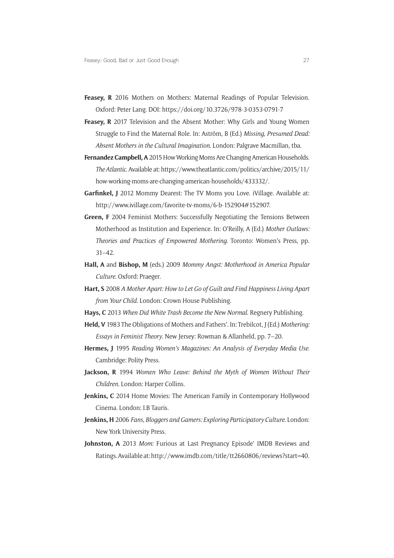- **Feasey, R** 2016 Mothers on Mothers: Maternal Readings of Popular Television. Oxford: Peter Lang. DOI: <https://doi.org/10.3726/978-3-0353-0791-7>
- **Feasey, R** 2017 Television and the Absent Mother: Why Girls and Young Women Struggle to Find the Maternal Role. In: Aström, B (Ed.) *Missing, Presumed Dead: Absent Mothers in the Cultural Imagination*. London: Palgrave Macmillan, tba.
- **Fernandez Campbell, A** 2015 How Working Moms Are Changing American Households. *The Atlantic*. Available at: [https://www.theatlantic.com/politics/archive/2015/11/](https://www.theatlantic.com/politics/archive/2015/11/how-working-moms-are-changing-american-households/433332/) [how-working-moms-are-changing-american-households/433332/](https://www.theatlantic.com/politics/archive/2015/11/how-working-moms-are-changing-american-households/433332/).
- **Garfinkel, J** 2012 Mommy Dearest: The TV Moms you Love. iVillage. Available at: [http://www.ivillage.com/favorite-tv-moms/6-b-152904#152907.](http://www.ivillage.com/favorite-tv-moms/6-b-152904#152907)
- **Green, F** 2004 Feminist Mothers: Successfully Negotiating the Tensions Between Motherhood as Institution and Experience. In: O'Reilly, A (Ed.) *Mother Outlaws: Theories and Practices of Empowered Mothering*. Toronto: Women's Press, pp. 31–42.
- **Hall, A** and **Bishop, M** (eds.) 2009 *Mommy Angst: Motherhood in America Popular Culture*. Oxford: Praeger.
- **Hart, S** 2008 *A Mother Apart: How to Let Go of Guilt and Find Happiness Living Apart from Your Child*. London: Crown House Publishing.
- **Hays, C** 2013 *When Did White Trash Become the New Normal*. Regnery Publishing.
- **Held, V** 1983 The Obligations of Mothers and Fathers'. In: Trebilcot, J (Ed.) *Mothering: Essays in Feminist Theory*. New Jersey: Rowman & Allanheld, pp. 7–20.
- **Hermes, J** 1995 *Reading Women's Magazines: An Analysis of Everyday Media Use*. Cambridge: Polity Press.
- **Jackson, R** 1994 *Women Who Leave: Behind the Myth of Women Without Their Children*. London: Harper Collins.
- **Jenkins, C** 2014 Home Movies: The American Family in Contemporary Hollywood Cinema. London: I.B Tauris.
- **Jenkins, H** 2006 *Fans, Bloggers and Gamers: Exploring Participatory Culture*. London: New York University Press.
- **Johnston, A** 2013 *Mom*: Furious at Last Pregnancy Episode' IMDB Reviews and Ratings. Available at: [http://www.imdb.com/title/tt2660806/reviews?start=40.](http://www.imdb.com/title/tt2660806/reviews?start=40)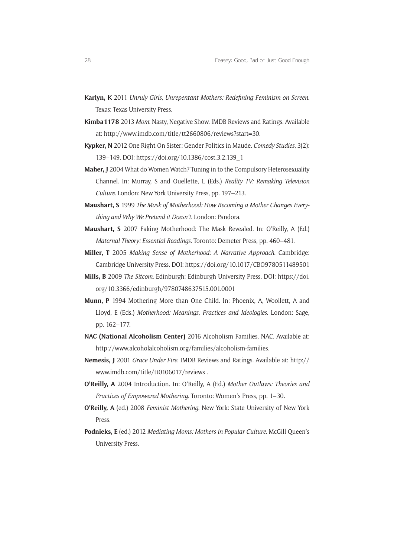- **Karlyn, K** 2011 *Unruly Girls, Unrepentant Mothers: Redefining Feminism on Screen*. Texas: Texas University Press.
- **Kimba1178** 2013 *Mom*: Nasty, Negative Show. IMDB Reviews and Ratings. Available at: [http://www.imdb.com/title/tt2660806/reviews?start=30.](http://www.imdb.com/title/tt2660806/reviews?start=30)
- **Kypker, N** 2012 One Right-On Sister: Gender Politics in Maude. *Comedy Studies*, 3(2): 139–149. DOI: [https://doi.org/10.1386/cost.3.2.139\\_1](https://doi.org/10.1386/cost.3.2.139_1)
- **Maher, J** 2004 What do Women Watch? Tuning in to the Compulsory Heterosexuality Channel. In: Murray, S and Ouellette, L (Eds.) *Reality TV: Remaking Television Culture*. London: New York University Press, pp. 197–213.
- **Maushart, S** 1999 *The Mask of Motherhood: How Becoming a Mother Changes Everything and Why We Pretend it Doesn't*. London: Pandora.
- **Maushart, S** 2007 Faking Motherhood: The Mask Revealed. In: O'Reilly, A (Ed.) *Maternal Theory: Essential Readings*. Toronto: Demeter Press, pp. 460–481.
- **Miller, T** 2005 *Making Sense of Motherhood: A Narrative Approach*. Cambridge: Cambridge University Press. DOI: <https://doi.org/10.1017/CBO9780511489501>
- **Mills, B** 2009 *The Sitcom*. Edinburgh: Edinburgh University Press. DOI: [https://doi.](https://doi.org/10.3366/edinburgh/9780748637515.001.0001) [org/10.3366/edinburgh/9780748637515.001.0001](https://doi.org/10.3366/edinburgh/9780748637515.001.0001)
- **Munn, P** 1994 Mothering More than One Child. In: Phoenix, A, Woollett, A and Lloyd, E (Eds.) *Motherhood: Meanings, Practices and Ideologies*. London: Sage, pp. 162–177.
- **NAC (National Alcoholism Center)** 2016 Alcoholism Families. NAC. Available at: <http://www.alcoholalcoholism.org/families/alcoholism-families>.
- **Nemesis, J** 2001 *Grace Under Fire*. IMDB Reviews and Ratings. Available at: [http://](http://www.imdb.com/title/tt0106017/reviews) [www.imdb.com/title/tt0106017/reviews](http://www.imdb.com/title/tt0106017/reviews) .
- **O'Reilly, A** 2004 Introduction. In: O'Reilly, A (Ed.) *Mother Outlaws: Theories and Practices of Empowered Mothering*. Toronto: Women's Press, pp. 1–30.
- **O'Reilly, A** (ed.) 2008 *Feminist Mothering*. New York: State University of New York Press.
- **Podnieks, E** (ed.) 2012 *Mediating Moms: Mothers in Popular Culture*. McGill-Queen's University Press.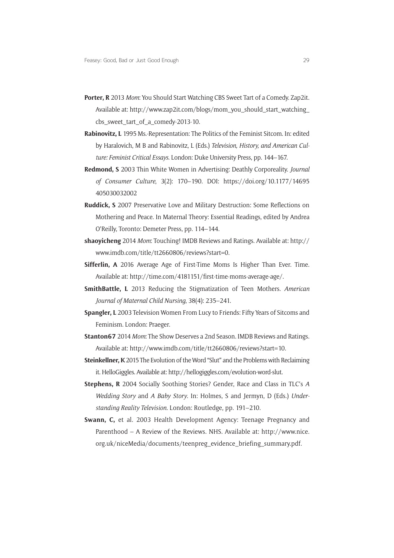- **Porter, R** 2013 *Mom*: You Should Start Watching CBS Sweet Tart of a Comedy. Zap2it. Available at: [http://www.zap2it.com/blogs/mom\\_you\\_should\\_start\\_watching\\_](http://www.zap2it.com/blogs/mom_you_should_start_watching_cbs_sweet_tart_of_a_comedy-2013-10) cbs sweet tart of a comedy-2013-10.
- **Rabinovitz, L** 1995 Ms.-Representation: The Politics of the Feminist Sitcom. In: edited by Haralovich, M B and Rabinovitz, L (Eds.) *Television, History, and American Culture: Feminist Critical Essays*. London: Duke University Press, pp. 144–167.
- **Redmond, S** 2003 Thin White Women in Advertising: Deathly Corporeality. *Journal of Consumer Culture*, 3(2): 170–190. DOI: [https://doi.org/10.1177/14695](https://doi.org/10.1177/14695405030032002) [405030032002](https://doi.org/10.1177/14695405030032002)
- **Ruddick, S** 2007 Preservative Love and Military Destruction: Some Reflections on Mothering and Peace. In Maternal Theory: Essential Readings, edited by Andrea O'Reilly, Toronto: Demeter Press, pp. 114–144.
- **shaoyicheng** 2014 *Mom*: Touching! IMDB Reviews and Ratings. Available at: [http://](http://www.imdb.com/title/tt2660806/reviews?start=0) [www.imdb.com/title/tt2660806/reviews?start=0.](http://www.imdb.com/title/tt2660806/reviews?start=0)
- **Sifferlin, A** 2016 Average Age of First-Time Moms Is Higher Than Ever. Time. Available at:<http://time.com/4181151/first-time-moms-average-age/>.
- **SmithBattle, L** 2013 Reducing the Stigmatization of Teen Mothers. *American Journal of Maternal Child Nursing*, 38(4): 235–241.
- **Spangler, L** 2003 Television Women From Lucy to Friends: Fifty Years of Sitcoms and Feminism. London: Praeger.
- **Stanton67** 2014 *Mom*: The Show Deserves a 2nd Season. IMDB Reviews and Ratings. Available at:<http://www.imdb.com/title/tt2660806/reviews?start=10>.
- **Steinkellner, K** 2015 The Evolution of the Word "Slut" and the Problems with Reclaiming it. HelloGiggles. Available at: [http://hellogiggles.com/evolution-word-slut.](http://hellogiggles.com/evolution-word-slut)
- **Stephens, R** 2004 Socially Soothing Stories? Gender, Race and Class in TLC's *A Wedding Story* and *A Baby Story*. In: Holmes, S and Jermyn, D (Eds.) *Understanding Reality Television*. London: Routledge, pp. 191–210.
- **Swann, C,** et al. 2003 Health Development Agency: Teenage Pregnancy and Parenthood – A Review of the Reviews. NHS. Available at: [http://www.nice.](http://www.nice.org.uk/niceMedia/documents/teenpreg_evidence_briefing_summary.pdf) [org.uk/niceMedia/documents/teenpreg\\_evidence\\_briefing\\_summary.pdf](http://www.nice.org.uk/niceMedia/documents/teenpreg_evidence_briefing_summary.pdf).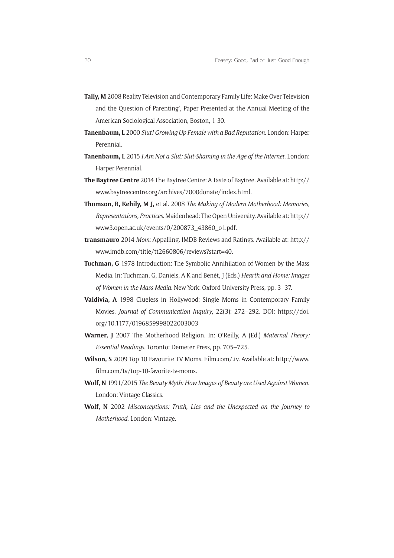- **Tally, M** 2008 Reality Television and Contemporary Family Life: Make Over Television and the Question of Parenting', Paper Presented at the Annual Meeting of the American Sociological Association, Boston, 1-30.
- **Tanenbaum, L** 2000 *Slut! Growing Up Female with a Bad Reputation.* London: Harper Perennial.
- **Tanenbaum, L** 2015 *I Am Not a Slut: Slut-Shaming in the Age of the Internet*. London: Harper Perennial.
- **The Baytree Centre** 2014 The Baytree Centre: A Taste of Baytree. Available at: [http://](http://www.baytreecentre.org/archives/7000donate/index.html) [www.baytreecentre.org/archives/7000donate/index.html](http://www.baytreecentre.org/archives/7000donate/index.html).
- **Thomson, R, Kehily, M J,** et al. 2008 *The Making of Modern Motherhood: Memories, Representations, Practices*. Maidenhead: The Open University. Available at: [http://](http://www3.open.ac.uk/events/0/200873_43860_o1.pdf) [www3.open.ac.uk/events/0/200873\\_43860\\_o1.pdf](http://www3.open.ac.uk/events/0/200873_43860_o1.pdf).
- **transmauro** 2014 *Mom*: Appalling. IMDB Reviews and Ratings. Available at: [http://](http://www.imdb.com/title/tt2660806/reviews?start=40) [www.imdb.com/title/tt2660806/reviews?start=40](http://www.imdb.com/title/tt2660806/reviews?start=40).
- **Tuchman, G** 1978 Introduction: The Symbolic Annihilation of Women by the Mass Media. In: Tuchman, G, Daniels, A K and Benét, J (Eds.) *Hearth and Home: Images of Women in the Mass Media*. New York: Oxford University Press, pp. 3–37.
- **Valdivia, A** 1998 Clueless in Hollywood: Single Moms in Contemporary Family Movies. *Journal of Communication Inquiry*, 22(3): 272–292. DOI: [https://doi.](https://doi.org/10.1177/0196859998022003003) [org/10.1177/0196859998022003003](https://doi.org/10.1177/0196859998022003003)
- **Warner, J** 2007 The Motherhood Religion. In: O'Reilly, A (Ed.) *Maternal Theory: Essential Readings*. Toronto: Demeter Press, pp. 705–725.
- **Wilson, S** 2009 Top 10 Favourite TV Moms. [Film.com/.tv](http://Film.com/.tv). Available at: [http://www.](http://www.film.com/tv/top-10-favorite-tv-moms) [film.com/tv/top-10-favorite-tv-moms.](http://www.film.com/tv/top-10-favorite-tv-moms)
- **Wolf, N** 1991/2015 *The Beauty Myth: How Images of Beauty are Used Against Women*. London: Vintage Classics.
- **Wolf, N** 2002 *Misconceptions: Truth, Lies and the Unexpected on the Journey to Motherhood*. London: Vintage.